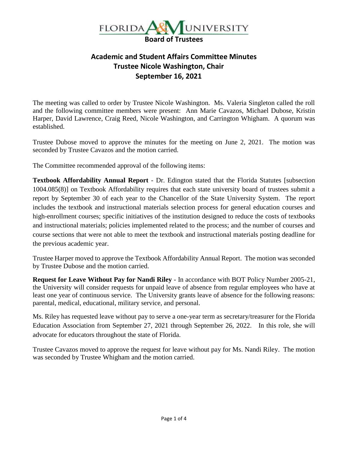

## **Academic and Student Affairs Committee Minutes Trustee Nicole Washington, Chair September 16, 2021**

The meeting was called to order by Trustee Nicole Washington. Ms. Valeria Singleton called the roll and the following committee members were present: Ann Marie Cavazos, Michael Dubose, Kristin Harper, David Lawrence, Craig Reed, Nicole Washington, and Carrington Whigham. A quorum was established.

Trustee Dubose moved to approve the minutes for the meeting on June 2, 2021. The motion was seconded by Trustee Cavazos and the motion carried.

The Committee recommended approval of the following items:

**Textbook Affordability Annual Report** - Dr. Edington stated that the Florida Statutes [subsection 1004.085(8)] on Textbook Affordability requires that each state university board of trustees submit a report by September 30 of each year to the Chancellor of the State University System. The report includes the textbook and instructional materials selection process for general education courses and high-enrollment courses; specific initiatives of the institution designed to reduce the costs of textbooks and instructional materials; policies implemented related to the process; and the number of courses and course sections that were not able to meet the textbook and instructional materials posting deadline for the previous academic year.

Trustee Harper moved to approve the Textbook Affordability Annual Report. The motion was seconded by Trustee Dubose and the motion carried.

**Request for Leave Without Pay for Nandi Riley** - In accordance with BOT Policy Number 2005-21, the University will consider requests for unpaid leave of absence from regular employees who have at least one year of continuous service. The University grants leave of absence for the following reasons: parental, medical, educational, military service, and personal.

Ms. Riley has requested leave without pay to serve a one-year term as secretary/treasurer for the Florida Education Association from September 27, 2021 through September 26, 2022. In this role, she will advocate for educators throughout the state of Florida.

Trustee Cavazos moved to approve the request for leave without pay for Ms. Nandi Riley. The motion was seconded by Trustee Whigham and the motion carried.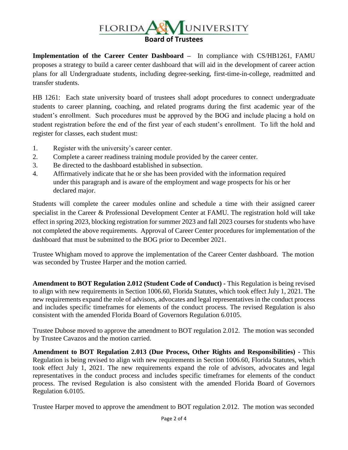

**Implementation of the Career Center Dashboard –** In compliance with CS/HB1261, FAMU proposes a strategy to build a career center dashboard that will aid in the development of career action plans for all Undergraduate students, including degree-seeking, first-time-in-college, readmitted and transfer students.

HB 1261: Each state university board of trustees shall adopt procedures to connect undergraduate students to career planning, coaching, and related programs during the first academic year of the student's enrollment. Such procedures must be approved by the BOG and include placing a hold on student registration before the end of the first year of each student's enrollment. To lift the hold and register for classes, each student must:

- 1. Register with the university's career center.
- 2. Complete a career readiness training module provided by the career center.
- 3. Be directed to the dashboard established in subsection.
- 4. Affirmatively indicate that he or she has been provided with the information required under this paragraph and is aware of the employment and wage prospects for his or her declared major.

Students will complete the career modules online and schedule a time with their assigned career specialist in the Career & Professional Development Center at FAMU. The registration hold will take effect in spring 2023, blocking registration for summer 2023 and fall 2023 courses for students who have not completed the above requirements. Approval of Career Center procedures for implementation of the dashboard that must be submitted to the BOG prior to December 2021.

Trustee Whigham moved to approve the implementation of the Career Center dashboard. The motion was seconded by Trustee Harper and the motion carried.

**Amendment to BOT Regulation 2.012 (Student Code of Conduct) -** This Regulation is being revised to align with new requirements in Section 1006.60, Florida Statutes, which took effect July 1, 2021. The new requirements expand the role of advisors, advocates and legal representatives in the conduct process and includes specific timeframes for elements of the conduct process. The revised Regulation is also consistent with the amended Florida Board of Governors Regulation 6.0105.

Trustee Dubose moved to approve the amendment to BOT regulation 2.012. The motion was seconded by Trustee Cavazos and the motion carried.

**Amendment to BOT Regulation 2.013 (Due Process, Other Rights and Responsibilities) -** This Regulation is being revised to align with new requirements in Section 1006.60, Florida Statutes, which took effect July 1, 2021. The new requirements expand the role of advisors, advocates and legal representatives in the conduct process and includes specific timeframes for elements of the conduct process. The revised Regulation is also consistent with the amended Florida Board of Governors Regulation 6.0105.

Trustee Harper moved to approve the amendment to BOT regulation 2.012. The motion was seconded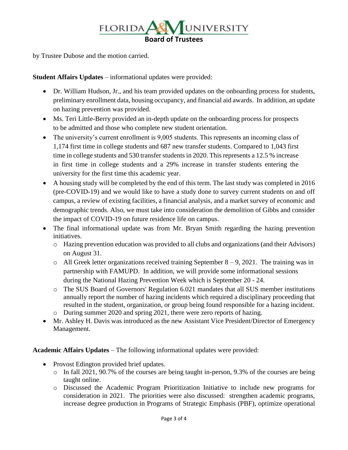

by Trustee Dubose and the motion carried.

**Student Affairs Updates** – informational updates were provided:

- Dr. William Hudson, Jr., and his team provided updates on the onboarding process for students, preliminary enrollment data, housing occupancy, and financial aid awards. In addition, an update on hazing prevention was provided.
- Ms. Teri Little-Berry provided an in-depth update on the onboarding process for prospects to be admitted and those who complete new student orientation.
- The university's current enrollment is 9,005 students. This represents an incoming class of 1,174 first time in college students and 687 new transfer students. Compared to 1,043 first time in college students and 530 transfer students in 2020. This represents a 12.5 % increase in first time in college students and a 29% increase in transfer students entering the university for the first time this academic year.
- A housing study will be completed by the end of this term. The last study was completed in 2016 (pre-COVID-19) and we would like to have a study done to survey current students on and off campus, a review of existing facilities, a financial analysis, and a market survey of economic and demographic trends. Also, we must take into consideration the demolition of Gibbs and consider the impact of COVID-19 on future residence life on campus.
- The final informational update was from Mr. Bryan Smith regarding the hazing prevention initiatives.
	- o Hazing prevention education was provided to all clubs and organizations (and their Advisors) on August 31.
	- $\circ$  All Greek letter organizations received training September 8 9, 2021. The training was in partnership with FAMUPD. In addition, we will provide some informational sessions during the National Hazing Prevention Week which is September 20 - 24.
	- o The SUS Board of Governors' Regulation 6.021 mandates that all SUS member institutions annually report the number of hazing incidents which required a disciplinary proceeding that resulted in the student, organization, or group being found responsible for a hazing incident.
	- o During summer 2020 and spring 2021, there were zero reports of hazing.
- Mr. Ashley H. Davis was introduced as the new Assistant Vice President/Director of Emergency Management.

**Academic Affairs Updates** – The following informational updates were provided:

- Provost Edington provided brief updates.
	- o In fall 2021, 90.7% of the courses are being taught in-person, 9.3% of the courses are being taught online.
	- o Discussed the Academic Program Prioritization Initiative to include new programs for consideration in 2021. The priorities were also discussed: strengthen academic programs, increase degree production in Programs of Strategic Emphasis (PBF), optimize operational